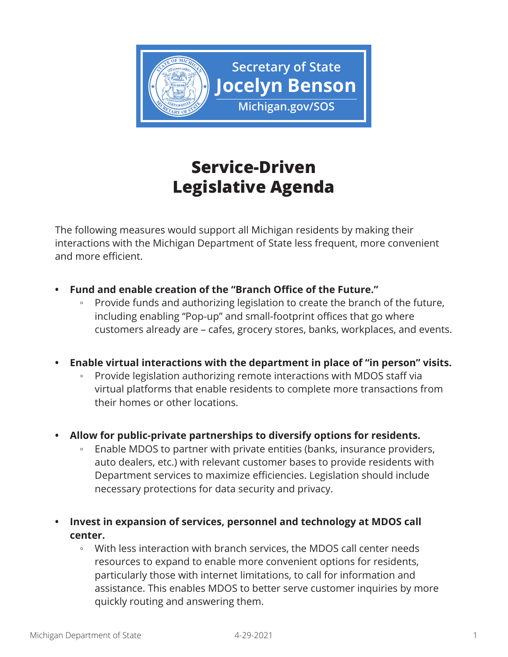

## **Service-Driven Legislative Agenda**

The following measures would support all Michigan residents by making their interactions with the Michigan Department of State less frequent, more convenient and more efficient.

- **• Fund and enable creation of the "Branch Office of the Future."**
	- Provide funds and authorizing legislation to create the branch of the future, including enabling "Pop-up" and small-footprint offices that go where customers already are – cafes, grocery stores, banks, workplaces, and events.
- **• Enable virtual interactions with the department in place of "in person" visits.**
	- Provide legislation authorizing remote interactions with MDOS staff via virtual platforms that enable residents to complete more transactions from their homes or other locations.
- **• Allow for public-private partnerships to diversify options for residents.**
	- Enable MDOS to partner with private entities (banks, insurance providers, auto dealers, etc.) with relevant customer bases to provide residents with Department services to maximize efficiencies. Legislation should include necessary protections for data security and privacy.
- **• Invest in expansion of services, personnel and technology at MDOS call center.**
	- With less interaction with branch services, the MDOS call center needs resources to expand to enable more convenient options for residents, particularly those with internet limitations, to call for information and assistance. This enables MDOS to better serve customer inquiries by more quickly routing and answering them.